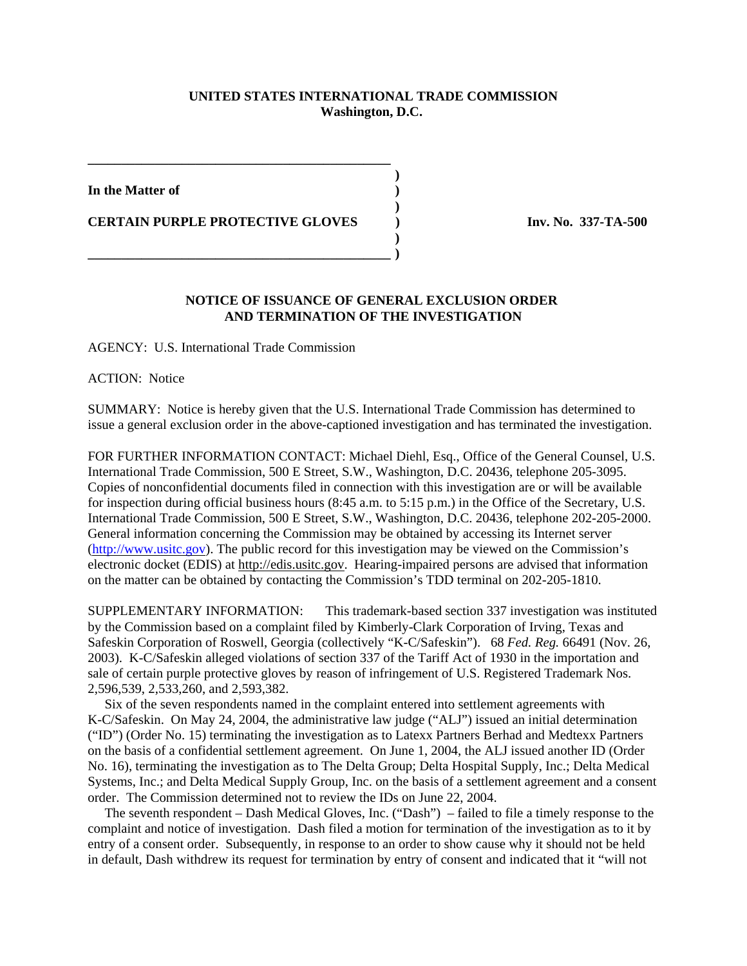## **UNITED STATES INTERNATIONAL TRADE COMMISSION Washington, D.C.**

**)**

**)**

**)**

**In the Matter of )**

**CERTAIN PURPLE PROTECTIVE GLOVES** (and inv. No. 337-TA-500)

**\_\_\_\_\_\_\_\_\_\_\_\_\_\_\_\_\_\_\_\_\_\_\_\_\_\_\_\_\_\_\_\_\_\_\_\_\_\_\_\_\_\_\_\_\_**

**\_\_\_\_\_\_\_\_\_\_\_\_\_\_\_\_\_\_\_\_\_\_\_\_\_\_\_\_\_\_\_\_\_\_\_\_\_\_\_\_\_\_\_\_\_ )**

## **NOTICE OF ISSUANCE OF GENERAL EXCLUSION ORDER AND TERMINATION OF THE INVESTIGATION**

AGENCY: U.S. International Trade Commission

ACTION: Notice

SUMMARY: Notice is hereby given that the U.S. International Trade Commission has determined to issue a general exclusion order in the above-captioned investigation and has terminated the investigation.

FOR FURTHER INFORMATION CONTACT: Michael Diehl, Esq., Office of the General Counsel, U.S. International Trade Commission, 500 E Street, S.W., Washington, D.C. 20436, telephone 205-3095. Copies of nonconfidential documents filed in connection with this investigation are or will be available for inspection during official business hours (8:45 a.m. to 5:15 p.m.) in the Office of the Secretary, U.S. International Trade Commission, 500 E Street, S.W., Washington, D.C. 20436, telephone 202-205-2000. General information concerning the Commission may be obtained by accessing its Internet server (http://www.usitc.gov). The public record for this investigation may be viewed on the Commission's electronic docket (EDIS) at http://edis.usitc.gov. Hearing-impaired persons are advised that information on the matter can be obtained by contacting the Commission's TDD terminal on 202-205-1810.

SUPPLEMENTARY INFORMATION: This trademark-based section 337 investigation was instituted by the Commission based on a complaint filed by Kimberly-Clark Corporation of Irving, Texas and Safeskin Corporation of Roswell, Georgia (collectively "K-C/Safeskin"). 68 *Fed. Reg.* 66491 (Nov. 26, 2003). K-C/Safeskin alleged violations of section 337 of the Tariff Act of 1930 in the importation and sale of certain purple protective gloves by reason of infringement of U.S. Registered Trademark Nos. 2,596,539, 2,533,260, and 2,593,382.

 Six of the seven respondents named in the complaint entered into settlement agreements with K-C/Safeskin. On May 24, 2004, the administrative law judge ("ALJ") issued an initial determination ("ID") (Order No. 15) terminating the investigation as to Latexx Partners Berhad and Medtexx Partners on the basis of a confidential settlement agreement. On June 1, 2004, the ALJ issued another ID (Order No. 16), terminating the investigation as to The Delta Group; Delta Hospital Supply, Inc.; Delta Medical Systems, Inc.; and Delta Medical Supply Group, Inc. on the basis of a settlement agreement and a consent order. The Commission determined not to review the IDs on June 22, 2004.

 The seventh respondent – Dash Medical Gloves, Inc. ("Dash") – failed to file a timely response to the complaint and notice of investigation. Dash filed a motion for termination of the investigation as to it by entry of a consent order. Subsequently, in response to an order to show cause why it should not be held in default, Dash withdrew its request for termination by entry of consent and indicated that it "will not